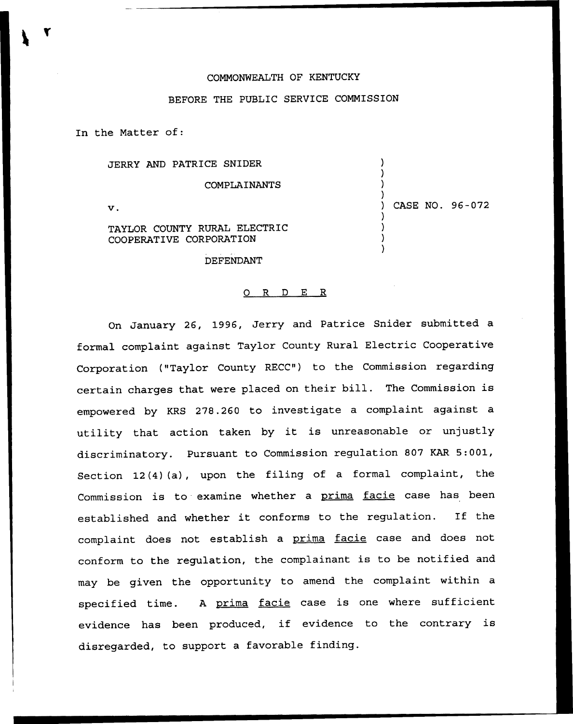## COMMONWEALTH OF KENTUCKY

## BEFORE THE PUBLIC SERVICE COMMISSION

In the Matter of:

JERRY AND PATRICE SNIDER COMPLAINANTS  $\mathbf v$ .

) ) CASE NO. 96-072

) ) )

> ) ) ) )

TAYLOR COUNTY RURAL ELECTRIC COOPERATIVE CORPORATION

DEFENDANT

## 0 R <sup>D</sup> E R

On January 26, 1996, Jerry and Patrice Snider submitted a formal complaint against Taylor County Rural Electric Cooperative Corporation ("Taylor County RECC") to the Commission regarding certain charges that were placed on their bill. The Commission is empowered by KRS 278.260 to investigate a complaint against a utility that action taken by it is unreasonable or unjustly discriminatory. Pursuant to Commission regulation 807 KAR 5:001, Section 12(4)(a), upon the filing of a formal complaint, the Commission is to examine whether a prima facie case has been established and whether it conforms to the regulation. If the complaint does not establish a prima facie case and does not conform to the regulation, the complainant is to be notified and may be given the opportunity to amend the complaint within a specified time. A prima facie case is one where sufficient evidence has been produced, if evidence to the contrary is disregarded, to support a favorable finding.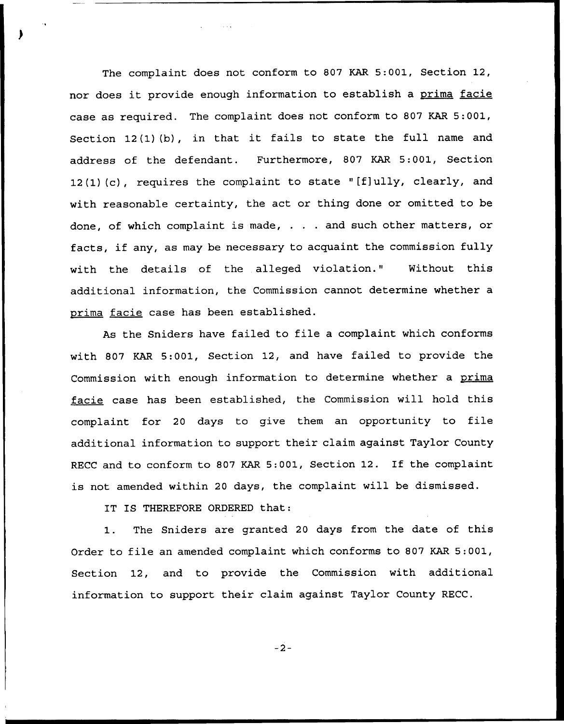The complaint does not conform to 807 KAR 5:001, Section 12, nor does it provide enough information to establish a prima facie case as required. The complaint does not conform to 807 KAR 5:001, Section <sup>12</sup> (1) (b), in that it fails to state the full name and address of the defendant. Furthermore, 807 KAR 5:001, Section 12(1) (c), requires the complaint to state "[f]ully, clearly, and with reasonable certainty, the act or thing done or omitted to be done, of which complaint is made,  $\ldots$  and such other matters, or facts, if any, as may be necessary to acquaint the commission fully with the details of the alleged violation." Without this additional information, the Commission cannot determine whether a prima facie case has been established.

As the Sniders have failed to file a complaint which conforms with 807 KAR 5:001, Section 12, and have failed to provide the Commission with enough information to determine whether a prima facie case has been established, the Commission will hold this complaint for <sup>20</sup> days to give them an opportunity to file additional information to support their claim against Taylor County RECC and to conform to <sup>807</sup> KAR 5:001, Section 12. If the complaint is not amended within <sup>20</sup> days, the complaint will be dismissed.

IT IS THEREFORE ORDERED that:

1. The Sniders are granted <sup>20</sup> days from the date of this Order to file an amended complaint which conforms to 807 KAR 5:001, Section 12, and to provide the Commission with additional information to support their claim against Taylor County RECC.

 $-2-$